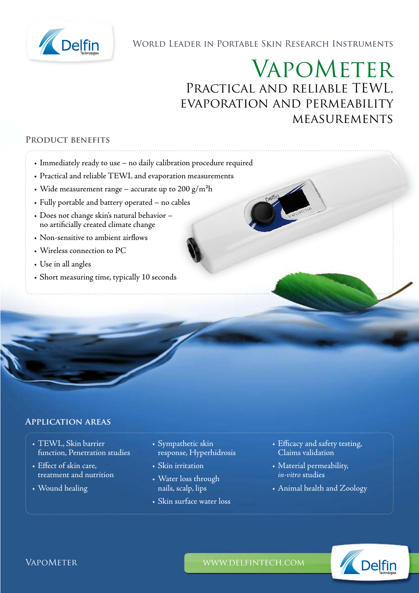

World Leader in Portable Skin Research Instruments

# VapoMeter Practical and reliable TEWL, evaporation and permeability **MEASUREMENTS**

## **Product benefits**

- Immediately ready to use no daily calibration procedure required
- Practical and reliable TEWL and evaporation measurements
- Wide measurement range accurate up to 200  $g/m<sup>2</sup>h$
- Fully portable and battery operated no cables
- Does not change skin's natural behavior no artificially created climate change
- Non-sensitive to ambient airflows
- Wireless connection to PC
- Use in all angles
- Short measuring time, typically 10 seconds

#### **Application areas**

- TEWL, Skin barrier function, Penetration studies
- Effect of skin care, treatment and nutrition
- Wound healing
- Sympathetic skin response, Hyperhidrosis
- Skin irritation
- Water loss through nails, scalp, lips
- Skin surface water loss
- Efficacy and safety testing, Claims validation
- Material permeability, *in-vitro* studies
- Animal health and Zoology



VapoMeter www.delfintech.com